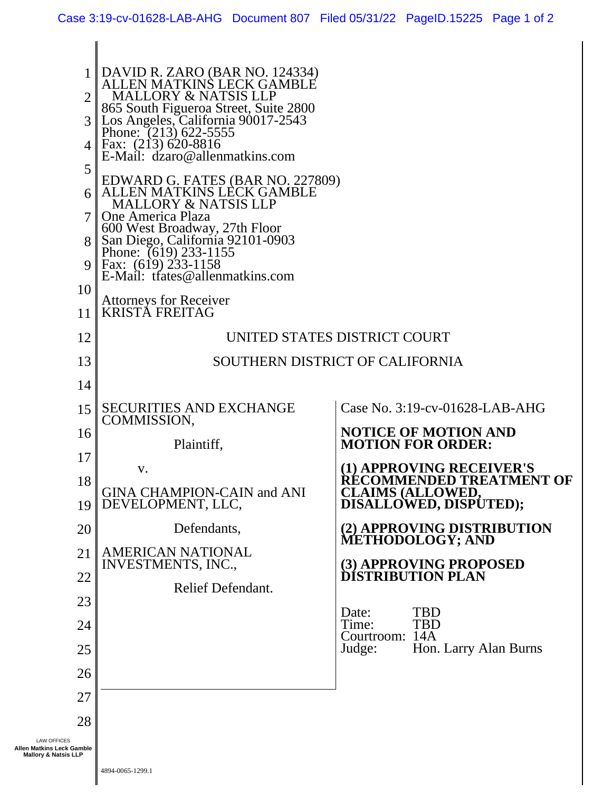| 2 <sub>1</sub><br>5                                                                | $\parallel$ DAVID R. ZARO (BAR NO. 124334)<br>ALLEN MATKINS LECK GAMBLE<br><b>MALLORY &amp; NATSIS LLP</b><br>865 South Figueroa Street, Suite 2800<br>Los Angeles, California 90017-2543<br>Phone: (213) 622-5555<br>4   Fax: $(213)$ 620-8816<br>E-Mail: dzaro@allenmatkins.com<br>EDWARD G. FATES (BAR NO. 227809)<br><b>MALLORY &amp; NATSIS LLP</b><br>One America Plaza<br>600 West Broadway, 27th Floor<br>8 San Diego, California 92101-0903<br>Phone: (619) 233-1155<br>9   Fax: $(619)$ 233-1158 |                                                             |
|------------------------------------------------------------------------------------|------------------------------------------------------------------------------------------------------------------------------------------------------------------------------------------------------------------------------------------------------------------------------------------------------------------------------------------------------------------------------------------------------------------------------------------------------------------------------------------------------------|-------------------------------------------------------------|
|                                                                                    | E-Mail: trates@allenmatkins.com                                                                                                                                                                                                                                                                                                                                                                                                                                                                            |                                                             |
| 10                                                                                 | <b>Attorneys for Receiver</b>                                                                                                                                                                                                                                                                                                                                                                                                                                                                              |                                                             |
| 11                                                                                 | <b>KRISTĂ FREITAG</b>                                                                                                                                                                                                                                                                                                                                                                                                                                                                                      |                                                             |
| 12                                                                                 | UNITED STATES DISTRICT COURT                                                                                                                                                                                                                                                                                                                                                                                                                                                                               |                                                             |
| 13                                                                                 | SOUTHERN DISTRICT OF CALIFORNIA                                                                                                                                                                                                                                                                                                                                                                                                                                                                            |                                                             |
| 14                                                                                 |                                                                                                                                                                                                                                                                                                                                                                                                                                                                                                            |                                                             |
| 15                                                                                 | <b>SECURITIES AND EXCHANGE</b><br>COMMISSION,                                                                                                                                                                                                                                                                                                                                                                                                                                                              | Case No. 3:19-cv-01628-LAB-AHG                              |
| 16                                                                                 |                                                                                                                                                                                                                                                                                                                                                                                                                                                                                                            | <b>NOTICE OF MOTION AND</b>                                 |
| 17                                                                                 | Plaintiff,                                                                                                                                                                                                                                                                                                                                                                                                                                                                                                 | <b>MOTION FOR ORDER:</b>                                    |
|                                                                                    | V.                                                                                                                                                                                                                                                                                                                                                                                                                                                                                                         | (1) APPROVING RECEIVER'S<br><b>RECOMMENDED TREATMENT OF</b> |
| 18<br>19                                                                           | <b>GINA CHAMPION-CAIN and ANI</b><br>DEVELOPMENT, LLC,                                                                                                                                                                                                                                                                                                                                                                                                                                                     | <b>CLAIMS (ALLOWED,<br/>DISALLOWED, DISPUTED);</b>          |
| 20                                                                                 | Defendants,                                                                                                                                                                                                                                                                                                                                                                                                                                                                                                | (2) APPROVING DISTRIBUTION                                  |
|                                                                                    |                                                                                                                                                                                                                                                                                                                                                                                                                                                                                                            | <b>METHODOLOGY; AND</b>                                     |
| 21                                                                                 | <b>AMERICAN NATIONAL</b><br><b>INVESTMENTS, INC.,</b>                                                                                                                                                                                                                                                                                                                                                                                                                                                      | (3) APPROVING PROPOSED<br>DISTRIBUTION PLAN                 |
| 22                                                                                 | Relief Defendant.                                                                                                                                                                                                                                                                                                                                                                                                                                                                                          |                                                             |
| 23                                                                                 |                                                                                                                                                                                                                                                                                                                                                                                                                                                                                                            | <b>TBD</b><br>Date:                                         |
| 24                                                                                 |                                                                                                                                                                                                                                                                                                                                                                                                                                                                                                            | <b>TBD</b><br>Time:                                         |
| 25                                                                                 |                                                                                                                                                                                                                                                                                                                                                                                                                                                                                                            | Courtroom: 14A<br>Hon. Larry Alan Burns<br>Judge:           |
| 26                                                                                 |                                                                                                                                                                                                                                                                                                                                                                                                                                                                                                            |                                                             |
| 27                                                                                 |                                                                                                                                                                                                                                                                                                                                                                                                                                                                                                            |                                                             |
| 28                                                                                 |                                                                                                                                                                                                                                                                                                                                                                                                                                                                                                            |                                                             |
| <b>LAW OFFICES</b><br>Allen Matkins Leck Gamble<br><b>Mallory &amp; Natsis LLP</b> |                                                                                                                                                                                                                                                                                                                                                                                                                                                                                                            |                                                             |